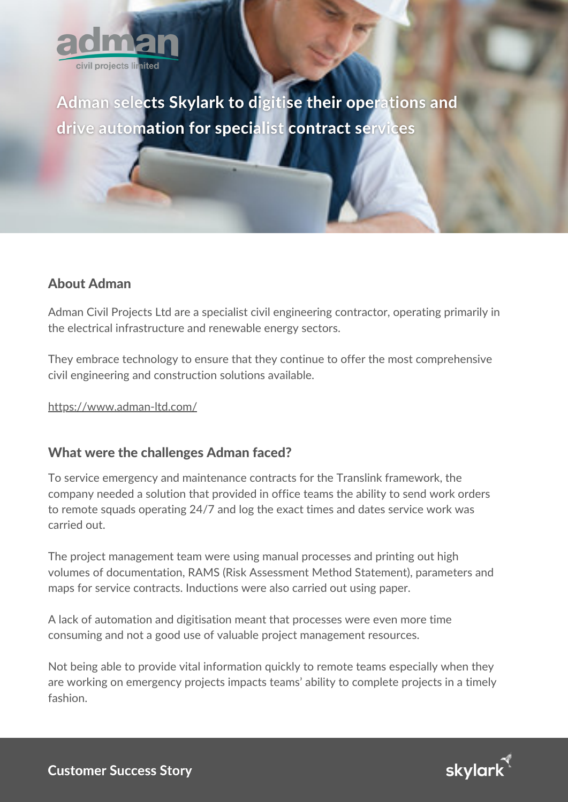

Adman selects Skylark to digitise their operations and drive automation for specialist contract services

## About Adman

Adman Civil Projects Ltd are a specialist civil engineering contractor, operating primarily in the electrical infrastructure and renewable energy sectors.

They embrace technology to ensure that they continue to offer the most comprehensive civil engineering and construction solutions available.

<https://www.adman-ltd.com/>

## What were the challenges Adman faced?

To service emergency and maintenance contracts for the Translink framework, the company needed a solution that provided in office teams the ability to send work orders to remote squads operating 24/7 and log the exact times and dates service work was carried out.

The project management team were using manual processes and printing out high volumes of documentation, RAMS (Risk Assessment Method Statement), parameters and maps for service contracts. Inductions were also carried out using paper.

A lack of automation and digitisation meant that processes were even more time consuming and not a good use of valuable project management resources.

Not being able to provide vital information quickly to remote teams especially when they are working on emergency projects impacts teams' ability to complete projects in a timely fashion.